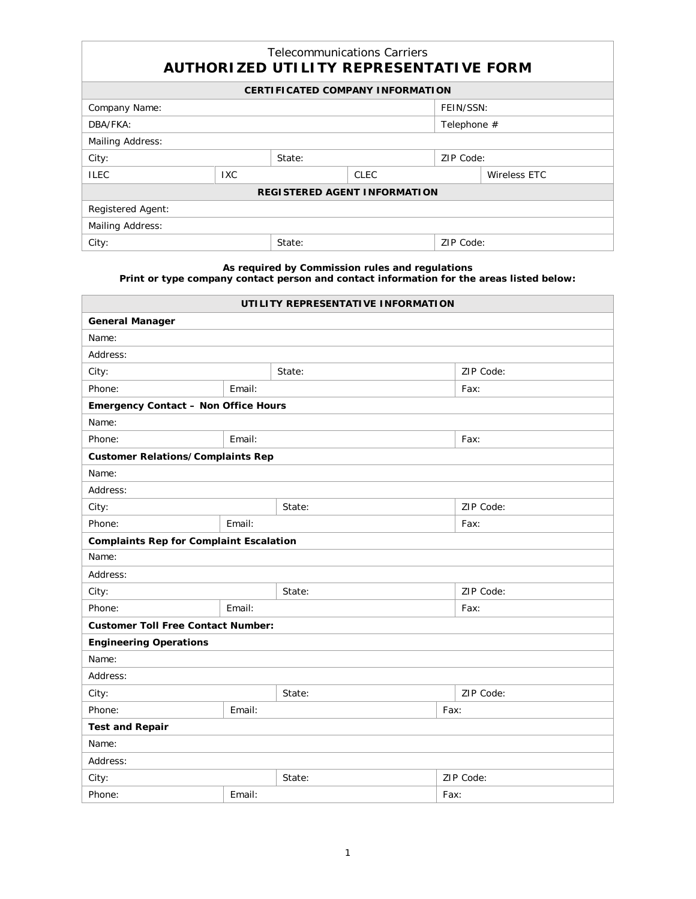## Telecommunications Carriers **AUTHORIZED UTILITY REPRESENTATIVE FORM**

| <b>CERTIFICATED COMPANY INFORMATION</b> |      |        |      |           |              |  |  |  |
|-----------------------------------------|------|--------|------|-----------|--------------|--|--|--|
| Company Name:                           |      |        |      |           | FEIN/SSN:    |  |  |  |
| DBA/FKA:                                |      |        |      |           | Telephone #  |  |  |  |
| Mailing Address:                        |      |        |      |           |              |  |  |  |
| City:                                   |      | State: |      | ZIP Code: |              |  |  |  |
| <b>ILEC</b>                             | IXC. |        | CLEC |           | Wireless ETC |  |  |  |
| <b>REGISTERED AGENT INFORMATION</b>     |      |        |      |           |              |  |  |  |
| Registered Agent:                       |      |        |      |           |              |  |  |  |
| Mailing Address:                        |      |        |      |           |              |  |  |  |
| City:                                   |      | State: |      | ZIP Code: |              |  |  |  |

## **As required by Commission rules and regulations Print or type company contact person and contact information for the areas listed below:**

**UTILITY REPRESENTATIVE INFORMATION General Manager** Name: Address: City: State: ZIP Code: Phone: Email: Fax: **Emergency Contact – Non Office Hours** Name: Phone: Email: Email: Email: Fax: **Customer Relations/Complaints Rep** Name: Address: City: State: ZIP Code: Phone: Email: Email: Email: Email: Fax: **Complaints Rep for Complaint Escalation** Name: Address: City: State: ZIP Code: Phone: Email: Email: Email: Email: Fax: **Customer Toll Free Contact Number: Engineering Operations** Name: Address: City: ZIP Code: 2. State: 2. State: 2. State: 2. State: 2. ZIP Code: Phone: Email: Fax: **Test and Repair** Name: Address: City: State: ZIP Code: Phone: Email: Email: Email: Fax: